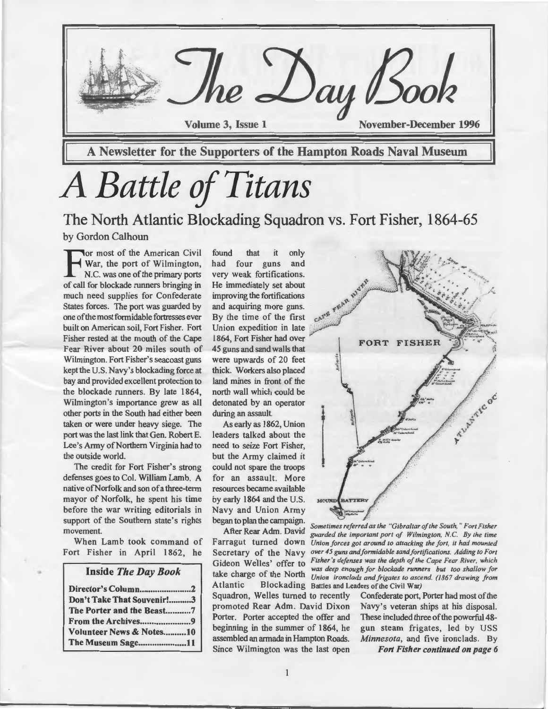

# *A Battle of Titans*

The North Atlantic Blockading Squadron vs. Fort Fisher, 1864-65 by Gordon Calhoun

For most of the American Civil<br>War, the port of Wilmington,<br>N.C. was one of the primary ports<br>of call for blockade nuners bringing in War, the port of Wilmington, N.C. was one of the primary ports of call for blockade runners bringing in much need supplies for Confederate States forces. The port was guarded by one of the most formidable fortresses ever built on American soil, Fort Fisher. Fort Fisher rested at the mouth of the Cape Fear River about 20 miles south of Wihnington. Fort Fisher's seacoast guns kept the U.S. Navy's blockading force at bay and provided excellent protection to the blockade runners. By late 1864, Wilmington's importance grew as all other ports in the South had either been taken or were under heavy siege. The port was the last link that Gen. Robert E. Lee's Army of Northern Virginia had to the outside world.

The credit for Fort Fisher's strong defenses goes to Col. William Lamb. A native ofNorfolk and son of a three-term mayor of Norfolk, he spent his time before the war writing editorials in support of the Southern state's rights movement.

When Lamb took command of Fort Fisher in April 1862, he

#### Inside *The Day Book*

..

| Don't Take That Souvenir!3 |  |
|----------------------------|--|
| The Porter and the Beast7  |  |
| From the Archives9         |  |
| Volunteer News & Notes10   |  |
| The Museum Sage11          |  |

found that it only had four guns and very weak fortifications. He immediately set about<br>improving the fortifications<br>and acquiring more guns.<br>By the time of the first  $C_{\text{A}}^{\text{V}}$ .  $\mathbb{R}^{\text{A}}$ . Union expedition Union expedition in late 45 guns and sand walls that were upwards of 20 feet thick. Workers also placed land mines in front of the north wall which could be detonated by an operator during an assault.

As early as 1862, Union leaders talked about the need to seize Fort Fisher, but the Army claimed it could not spare the troops for an assault. More resources became available by early 1864 and the U.S. Navy and Union Army began to plan the campaign.

After Rear Adm. David Atlantic Blockading Battles and Leaders of the Civil War) Since Wilmington was the last open *Fort Fisher continued on page 6* 



Farragut turned down *Union forces got around to attacking the fort, it had mounted*  Secretary of the Navy *over 45 guns and formidable sand fortifications. Adding to Fort*  Gideon Welles' offer to *Fisher's defenses was the depth of the Cape Fear River, which* Gideon Welles' offer to *Fisher's* and *Legislative Cape Fear River*, which **take charge of the North** *Union ironclads and frigates to ascend.* **(1867 drawing from the Vorth** *Union ironclads and frigates to ascend.* **(1867 drawing from** *Sometimes referred as the "Gibraltar of the South," Fort Fisher guarded the important port of Wilmington,* N.C. *By the time Union ironclads and frigates to ascend.* (I *867 drawing from* 

Squadron, Welles turned to recently Confederate port, Porter had most of the promoted Rear Adm. David Dixon Navy's veteran ships at his disposal. Porter. Porter accepted the offer and These included three of the powerful 48beginning in the summer of 1864, he gun steam frigates, led by USS assembledanarmadainHamptonRoads. *Minnesota,* and five ironclads. By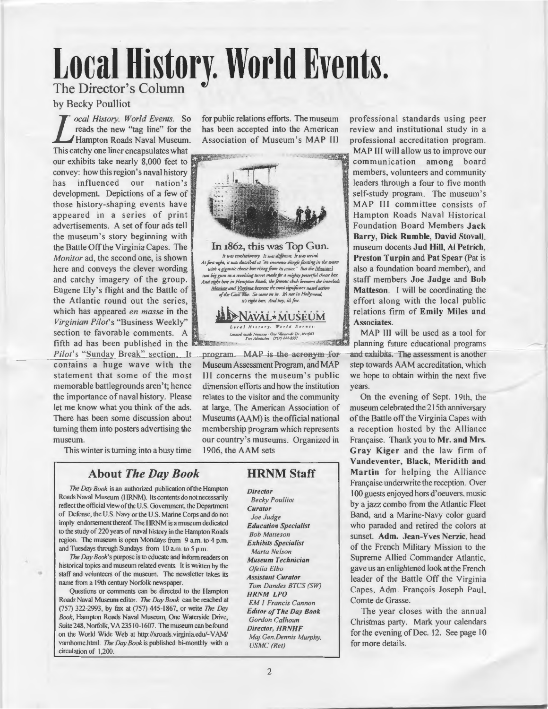# **Local History. World Events.**  The Director's Column

### by Becky Poulliot

*L ocal History. World Events.* So reads the new "tag line" for the Hampton Roads Naval Museum. reads the new "tag line" for the Hampton Roads Naval Museum. This catchy one liner encapsulates what our exhibits take nearly  $8,000$  feet to convey: how this region's naval history  $\vert$ has influenced our nation's development. Depictions of a few of those history-shaping events have appeared in a series of print advertisements. A set of four ads tell the museum's story beginning with the Battle Off the Virginia Capes. The *Monitor* ad, the second one, is shown here and conveys the clever wording and catchy imagery of the group. Eugene Ely's flight and the Battle of the Atlantic round out the series, which has appeared *en masse* in the *Virginian Pilot's* "Business Weekly" section to favorable comments. A

*Pilot's* "Sunday Break" section. It contains a huge wave with the statement that some of the most memorable battlegrounds aren 't; hence the importance of naval history. Please let me know what you think of the ads. There has been some discussion about turning them into posters advertising the museum.

This winter is turning into a busy time

### About *The Day Book*

*The Day Book* is an authorized publication of the Hampton Roads Naval Museum (HRNM). Its contents do not necessarily reflect the official view of the U.S. Government, the Department of Defense, the U.S. Navy or the U.S. Marine Corps and do not imply endorsement thereof. The HRNM is a museum dedicated to the study of 220 years of naval history in the Hampton Roads region. The museum is open Mondays from 9 am. to 4 p.m. and Tuesdays through Sundays from 10 a.m. to 5 p.m.

The Day Book's purpose is to educate and inform readers on historical topics and museum related events. It is written by the staff and volunteers of the museum. The newsletter takes its name from a 19th century Norfolk newspaper.

•

Questions or comments can be directed to the Hampton Roads Naval Museum editor. *The Day Book* can be reached at (757) 322-2993, by fax at (757) 445-1867, or write *The Day Book,* Hampton Roads Naval Museum, One Waterside Drive, Suite 248, Norfolk, VA 23510-1607. The museum can be found on the World Wide Web at http://xroads.virginia.edu/- YAM/ vamhome.html. *The Day Book* is published bi-monthly with a circulation of 1,200.

for public relations efforts. The museum has been accepted into the American Association of Museum's MAP III



program. MAP is the acronym for Museum Assessment Program, and MAP Ill concerns the museum 's public dimension efforts and how the institution relates to the visitor and the community at large. The American Association of Museums (AAM) is the official national membership program which represents our country's museums. Organized in 1906. the AAM sets

### HRNM Staff

*Director Becky Poulliot Curator Joe Judge Education Specialist Bob Malleson Exhibits Specialist Marta Nelson Museum Technician Ofelia Elba Assistant Curator Tom Dandes BTCS (SW) HRNM LPO EM I Francis Cannon Editor of The Day Book Gordon Calhoun Director, HRNHF Maj.Gen.Dennis Murphy. USMC (Ret)* 

professional standards using peer review and institutional study in a professional accreditation program.

MAP III will allow us to improve our communication among board members, volunteers and community leaders through a four to five month self-study program. The museum 's MAP Ill committee consists of Hampton Roads Naval Historical Foundation Board Members Jack Barry, Dick Rumble, David Stovall, museum docents Jud Hill, AI Petrich, Preston Turpin and Pat Spear (Pat is also a foundation board member), and staff members Joe Judge and Bob Matteson. I will be coordinating the effort along with the local public relations firm of Emily Miles and Associates.

MAP III will be used as a tool for and exhibits. The assessment is another step towards AAM accreditation, which we hope to obtain within the next five years.

-

On the evening of Sept. 19th. the museum celebrated the 215th anniversary of the Battle off the Virginia Capes with a reception hosted by the Alliance Française. Thank you to Mr. and Mrs. Gray Kiger and the law firm of Vandeventer, Black, Meridith and Martin for helping the Alliance Française underwrite the reception. Over I 00 guests enjoyed hors d'oeuvers. music by a jazz combo from the Atlantic Fleet Band, and a Marine-Navy color guard who paraded and retired the colors at sunset. Adm. Jean-Yves Nerzic, head of the French Military Mission to the Supreme Allied Commander Atlantic. gave us an enlightened look atthe French leader of the Battle Off the Virginia Capes, Adm. François Joseph Paul, Comte de Grasse.

The year closes with the annual Christmas party. Mark your calendars for the evening of Dec. 12. See page 10 for more details.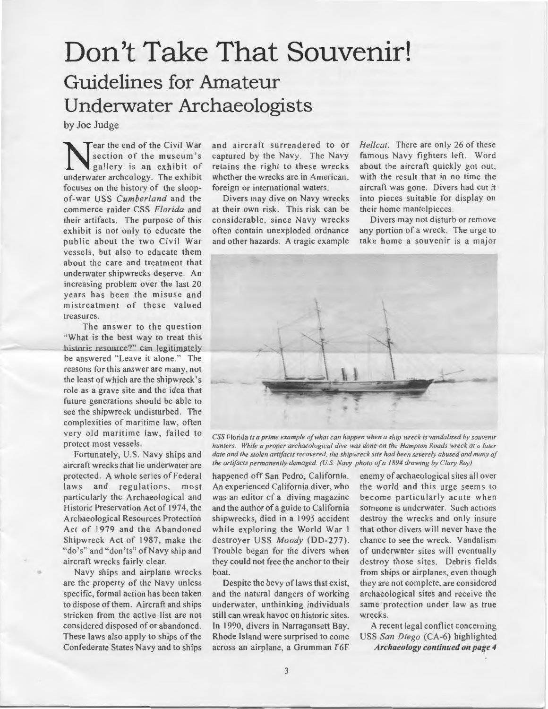# Don't Take That Souvenir! **Guidelines for Amateur Underwater Archaeologists**

by Joe Judge

**Near the end of the Civil War<br>
gallery is an exhibit of<br>
underwater archeology** The exhibit section of the museum 's underwater archeology. The exhibit focuses on the history of the sloopof-war USS *Cumberland* and the commerce raider CSS *Florida* and their artifacts. The purpose of this exhibit is not only to educate the public about the two Civil War vessels, but also to educate them about the care and treatment that underwater shipwrecks deserve. An increasing problem over the last 20 years has been the misuse and mistreatment of these valued treasures.

The answer to the question ·'What is the best way to treat this historic resource?" can legitimately be answered "Leave it alone." The reasons for this answer are many, not the least of which are the shipwreck 's role as a grave site and the idea that future generations should be able to see the shipwreck undisturbed. The complexities of maritime law, often very old maritime law, failed to protect most vessels.

Fortunately, U.S. Navy ships and aircraft wrecks that lie underwater are protected. A whole series of Federal laws and regulations, most particularly the Archaeological and Historic Preservation Act of 1974, the Archaeological Resources Protection Act of 1979 and the Abandoned Shipwreck Act of 1987, make the "do's" and "don'ts" of Navy ship and aircraft wrecks fairly clear.

Navy ships and airplane wrecks are the property of the Navy unless specific, formal action has been taken to dispose of them. Aircraft and ships stricken from the active list are not considered disposed of or abandoned. These laws also apply to ships of the Confederate States Navy and to ships

•

and aircraft surrendered to or captured by the Navy. The Navy retains the right to these wrecks whether the wrecks are in American. foreign or international waters.

Divers may dive on Navy wrecks at their own risk. This risk can be considerable, since Navy wrecks often contain unexploded ordnance and other hazards. A tragic example *Hellcat.* There are only 26 of these famous Navy fighters left. Word about the aircraft quickly got out, with the result that in no time the aircraft was gone. Divers had cut it into pieces suitable for display on their home mantelpieces.

Divers may not disturb or remove any portion of a wreck. The urge to take home a souvenir is a major



*CSS* Florida *is a prime example of what can happen when a ship wreck is vandalized by souvenir hunters. While a proper archaeological dive was done on the Hampton Roads wreck at a later date and the stolen artifacts recovered. the shipwreck site had been severely abused and many of the artifacts permanemly damaged. (US Navy photo of a 1894 drawing by Clary Rayj* 

happened off San Pedro, California. An experienced California diver. who was an editor of a diving magazine and the author of a guide to California shipwrecks, died in a 1995 accident while exploring the World War I destroyer USS *Moody* (DD-277). Trouble began for the divers when they could not free the anchor to their boat.

Despite the bevy of laws that exist, and the natural dangers of working underwater, unthinking individuals still can wreak havoc on historic sites. In 1990, divers in Narragansett Bay, Rhode Island were surprised to come across an airplane, a Grumman F6F

enemy of archaeological sites all over the world and this urge seems to become particularly acute when someone is underwater. Such actions destroy the wrecks and only insure that other divers will never have the chance to see the wreck. Vandalism of underwater sites will eventually destroy those sites. Debris fields from ships or airplanes, even though they are not complete. are considered archaeological sites and receive the same protection under law as true wrecks.

A recent legal conflict concerning USS *San Diego* (CA-6) highlighted Archaeology continued on page 4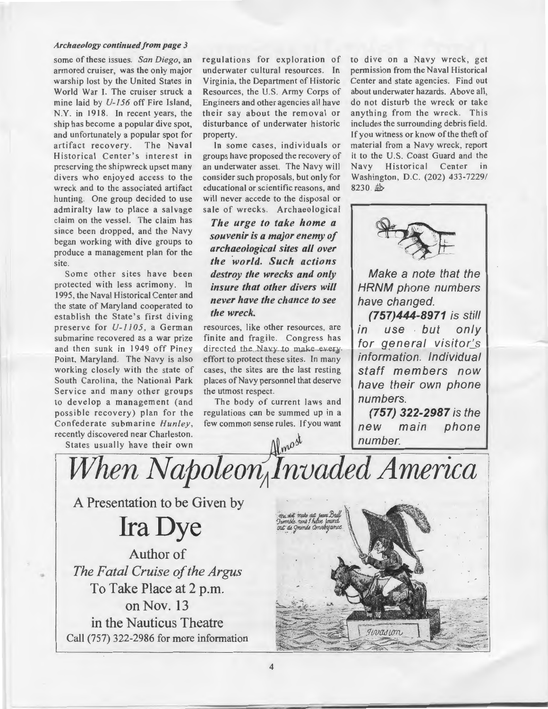#### *Archaeology continued from page 3*

some of these issues. *San Diego,* an armored cruiser, was the only major warship lost by the United States in World War I. The cruiser struck a mine laid by *U-156* off Fire Island, N.Y. in 1918. In recent years, the ship has become a popular dive spot, and unfortunately a popular spot for artifact recovery. The Naval Historical Center's interest in preserving the shipwreck upset many divers who enjoyed access to the wreck and to the associated artifact hunting. One group decided to use admiralty law to place a salvage claim on the vessel. The claim has since been dropped, and the Navy began working with dive groups to produce a management plan for the site.

Some other sites have been protected with less acrimony. In 1995, the Naval Historical Center and the state of Maryland cooperated to establish the State's first diving preserve for *U-1105,* a German submarine recovered as a war prize and then sunk in 1949 off Piney Point. Maryland. The Navy is also working closely with the state of South Carolina, the National Park Service and many other groups to develop a management (and possible recovery) plan for the Confederate submarine *Hunley,*  recently discovered near Charleston.

States usually have their own  $\bigcap_{n\geq 0}$   $\bigcap_{n\geq 0}$   $\bigcap_{n\geq 0}$   $\bigcap_{n\geq 0}$   $\bigcap_{n\geq 0}$   $\bigcap_{n\geq 0}$   $\bigcap_{n\geq 0}$   $\bigcap_{n\geq 0}$   $\bigcap_{n\geq 0}$   $\bigcap_{n\geq 0}$   $\bigcap_{n\geq 0}$   $\bigcap_{n\geq 0}$   $\bigcap_{n\geq 0}$   $\bigcap_{n\geq$ 

•

regulations for exploration of underwater cultural resources. In Virginia, the Department of Historic Resources, the U.S. Army Corps of Engineers and other agencies all have their say about the removal or disturbance of underwater historic property.

In some cases, individuals or groups have proposed the recovery of an underwater asset. The Navy will consider such proposals. but only for educational or scientific reasons, and will never accede to the disposal or sale of wrecks. Archaeological

*The urge to take home a souvenir is a major enemy of archaeological sites all over the world. Such actions destroy the wrecks and only insure that other divers will never have the chance to see the wreck.* 

resources, like other resources, are finite and fragile. Congress has directed the Navy to make everyeffort to protect these sites. In many cases, the sites are the last resting places of Navy personnel that deserve the utmost respect.

The body of current laws and regulations can be summed up in a few common sense rules. If you want to dive on a Navy wreck, get permission from the Naval Historical Center and state agencies. Find out about underwater hazards. Above all, do not disturb the wreck or take anything from the wreck. This includes the surrounding debris field. If you witness or know of the theft of material from a Navy wreck, report it to the U.S. Coast Guard and the Navy Historical Center in Washington, D.C. (202) 433-7229/ 8230. 些



Make a note that the HRNM phone numbers have changed.

**(757)444-8971** is still in use but only for general visitor's information. Individual staff members now have their own phone numbers.

**(757) 322-2987** is the new main phone

A Presentation to be Given by

**Ira Dye** 

Author of *The Fatal Cruise of the Argus* To Take Place at 2 p.m. on Nov. 13 in the Nauticus Theatre Call (757) 322-2986 for more information

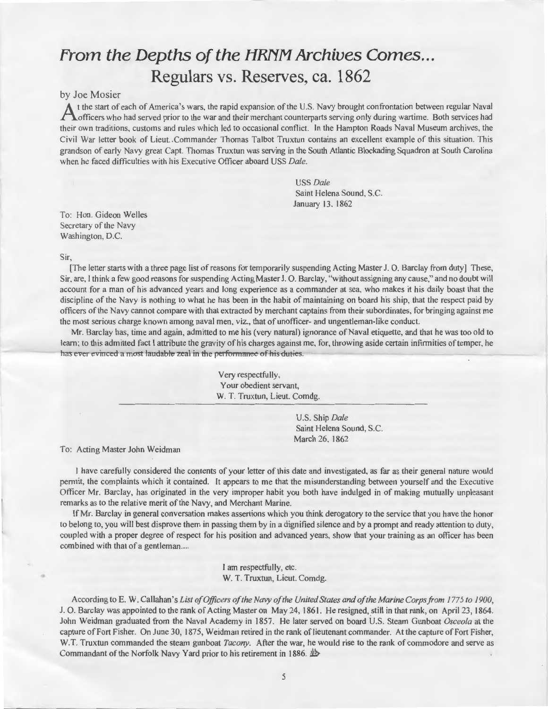### **From the Depths of the HRNM Archives Comes ... Regulars** vs. **Reserves, ca. 1862**

#### by Joe Mosier

A t the start of each of America's wars, the rapid expansion of the U.S. Navy brought confrontation between regular Naval<br>
A officers who had served prior to the war and their merchant counterparts serving only during wart their own traditions, customs and rules which led to occasional conflict. In the Hampton Roads Naval Museum archives, the Civil War letter book of Lieut. .Commander Thomas Talbot Truxtun contains an excellent example of this situation. This grandson of early Navy great Capt. Thomas Truxtun was serving in the South Atlantic Blockading Squadron at South Carolina when he faced difficulties with his Executive Officer aboard USS *Dale.* 

> USS *Dale*  Saint Helena Sound, S.C. January 13. 1862

To: Hon. Gideon Welles Secretary of the Navy Washington. D.C.

Sir,

•

[The letter starts with a three page list of reasons for temporarily suspending Acting Master J. 0. Barclay from duty] These, Sir, are, I think a few good reasons for suspending Acting Master J. 0. Barclay, "without assigning any cause," and no doubt will account for a man of his advanced years and long experience as a commander at sea, who makes it his daily boast that the discipline of the Navy is nothing to what he has been in the habit of maintaining on board his ship, that the respect paid by officers of the Navy cannot compare with that extracted by merchant captains from their subordinates, for bringing against me the most serious charge known among naval men. viz., that of unofficer- and ungentleman-like conduct.

Mr. Barclay has, time and again, admitted to me his (very natural) ignorance of Naval etiquette, and that he was too old to learn; to this admitted fact I attribute the gravity of his charges against me, for, throwing aside certain infirmities of temper, he has ever evinced a most laudable zeal in the performance of his duties.

> Very respectfully. Your obedient servant, W. T. Truxtun, Lieut. Comdg.

> > U.S. Ship *Dale*  Saint Helena Sound, S.C. March 26, 1862

To: Acting Master John Weidman

I have carefully considered the contents of your letter of this date and investigated, as far as their general nature would permit, the complaints which it contained. It appears to me that the misunderstanding between yourself and the Executive Officer Mr. Barclay, has originated in the very improper habit you both have indulged in of making mutually unpleasant remarks as to the relative merit of the Navy, and Merchant Marine.

If Mr. Barclay in general conversation makes assertions which you think derogatory to the service that you have the honor to belong to, you will best disprove them in passing them by in a dignified silence and by a prompt and ready attention to duty, coupled with a proper degree of respect for his position and advanced years, show that your training as an officer has been combined with that of a gentleman....

> I am respectfully, etc. W. T. Truxtun, Lieut. Comdg.

According to E. W. Callahan's *List of Officers of the Navy ofthe United States and ofthe Marine Corps from 1775 to 1900,*  J. 0 . Barclay was appointed to the rank of Acting Master on May 24, 1861. He resigned, still in that rank, on April 23, 1864. John Weidman graduated from the Naval Academy in 1857. He later served on board U.S. Steam Gunboat *Osceola* at the capture of Fort Fisher. On June 30, 1875, Weidman retired in the rank of lieutenant commander. At the capture of Fort Fisher, W.T. Truxtun commanded the steam gunboat *Tacony*. After the war, he would rise to the rank of commodore and serve as Commandant of the Norfolk Navy Yard prior to his retirement in 1886.  $\frac{4b}{5}$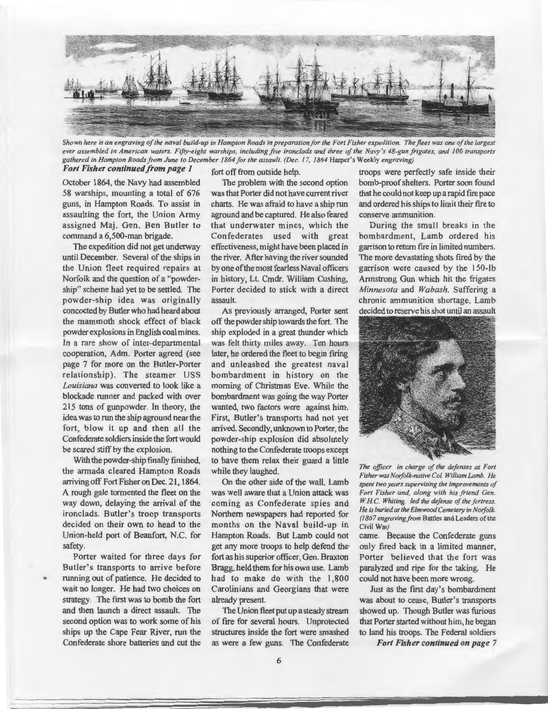

*Shown here is an engraving of the naval build-up in Hampton Roads in preparation for the Fort Fisher expedition. The fleet was one of the largest ever assembled in American waters. Fifty-eight warships, including five ironclads and three of the Navy 's 48-gun frigates, and I 00 transports gathered in Hampton Roads from June to December 1864 for the assault. (Dec. 17, 1864* Harper's Weekly *engraving)* 

### *Fort Fisher continued from page 1*

October 1864, the Navy had assembled 58 warships, mounting a total of 676 guns, in Hampton Roads. To assist in assaulting the fort, the Union Army assigned Maj. Gen. Ben Butler to command a 6,500-man brigade.

The expedition did not get underway until December. Several of the ships in the Union fleet required repairs at Norfolk and the question of a "powdership" scheme had yet to be settled. The Porter decided to stick with a direct powder-ship idea was originally assault. concocted by Butler who had heard about the mammoth shock effect of black powder explosions in English coal mines. In a rare show of inter-departmental cooperation, Adm. Porter agreed (see page 7 for more on the Butler-Porter relationship). The steamer USS *Louisiana* was converted to look like a blockade runner and packed with over 215 tons of gunpowder. In theory, the idea was to run the ship aground near the fort, blow it up and then all the Confederate soldiers inside the fort would be scared stiff by the explosion.

With the powder-ship finally finished, the armada cleared Hampton Roads arriving off Fort Fisher on Dec. 21, 1864. A rough gale tormented the fleet on the way down, delaying the arrival of the ironclads. Butler's troop transports decided on their own to head to the Union-held port of Beaufort, N.C. for safety.

Porter waited for three days for Butler's transports to arrive before running out of patience. He decided to wait no longer. He had two choices on strategy. The first was to bomb the fort and then launch a direct assault. The second option was to work some of his ships up the Cape Fear River, run the Confederate shore batteries and cut the

..

fort off from outside help.

The problem with the second option was that Porter did not have current river charts. He was afraid to have a ship run aground and be captured. He also feared that underwater mines, which the Confederates used with great effectiveness, might have been placed in the river. After having the river sounded by one of the most fearless Naval officers in history, Lt. Cmdr. William Cushing,

As previously arranged, Porter sent off the powder ship towards the fort. The ship exploded in a great thunder which was felt thirty miles away. Ten hours later, he ordered the fleet to begin firing and unleashed the greatest naval bombardment in history on the morning of Christmas Eve. While the bombardment was going the way Porter wanted, two factors were against him. First, Butler's transports had not yet arrived. Secondly, unknown to Porter, the powder-ship explosion did absolutely nothing to the Confederate troops except to have them relax their guard a little while they laughed.

On the other side of the wall, Lamb was well aware that a Union attack was coming as Confederate spies and Northern newspapers had reported for months on the Naval build-up in Hampton Roads. But Lamb could not get any more troops to help defend the· fort as his superior officer, Gen. Braxton Bragg, held them for his own use. Lamb had to make do with the 1,800 Carolinians and Georgians that were already present.

The Union fleet put up a steady stream of fire for several hours. Unprotected structures inside the fort were smashed as were a few guns. The Confederate troops were perfectly safe inside their bomb-proof shelters. Porter soon found that he could not keep up a rapid fire pace and ordered his ships to limit their fire to conserve ammunition.

During the small breaks in the bombardment, Lamb ordered his garrison to return fire in limited numbers. The more devastating shots fired by the garrison were caused by the 150-lb Armstrong Gun which hit the frigates *Minnesota* and *Wabash.* Suffering a chronic ammunition shortage, Lamb decided to reserve his shot until an assault



*The officer in charge of the defenses at Fort Fisher was Norfolk-native Col. William Lamb. He spent two years supervising the improvements of Fort Fisher and, along with his friend Gen. WHC. Whiting, led the defense of the fortress. He is buried at the Elmwood Cemetery in Norfolk. (1867 engraving/rom* Battles and Leaders of the Civil War)

came. Because the Confederate guns only fired back in a limited manner, Porter believed that the fort was paralyzed and ripe for the taking. He could not have been more wrong.

Just as the first day's bombardment was about to cease, Butler's transports showed up. Though Butler was furious that Porter started without him, he began to land his troops. The Federal soldiers

*Fort Fisher continued on page* 7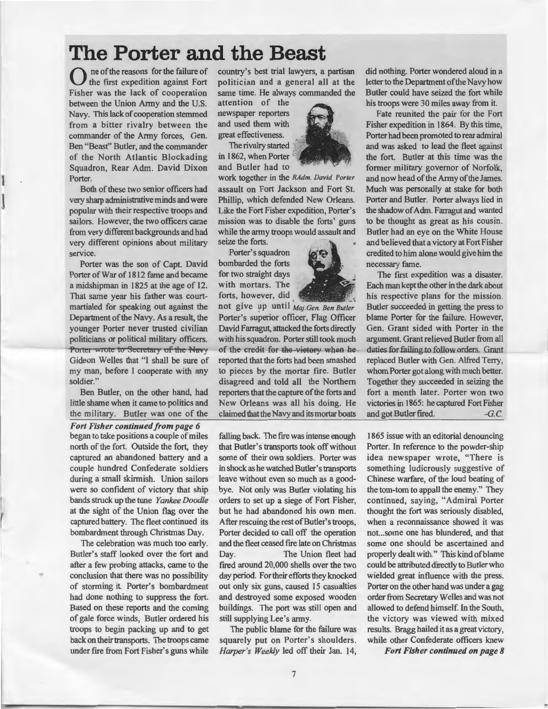### **The Porter and the Beast**

0 ne of the reasons for the failure of the first expedition against Fort Fisher was the lack of cooperation between the Union Army and the U.S. Navy. This lack of cooperation stemmed from a bitter rivalry between the commander of the Army forces, Gen. Ben "Beast'' Butler, and the commander of the North Atlantic Blockading Squadron, Rear Adm. David Dixon Porter.

Both of these two senior officers had very sharp administrative minds and were popular with their respective troops and sailors. However, the two officers came from very different backgrounds and had very different opinions about military service.

l

Porter was the son of Capt. David Porter of War of 1812 fame and became a midshipman in 1825 at the age of 12. That same year his father was courtmartialed for speaking out against the Department of the Navy. As a result, the younger Porter never trusted civilian politicians or political military officers. Porter wrote to Secretary of the Navy Gideon Welles that "I shall be sure of my man, before I cooperate with any soldier."

Ben Butler, on the other hand, had little shame when it came to politics and the military. Butler was one of the

*Fort Fisher continued from page 6*  began to take positions a couple of miles north of the fort. Outside the fort, they captured an abandoned battery and a couple hundred Confederate soldiers during a small skirmish. Union sailors were so confident of victory that ship bands struck up the tune *Yankee Doodle*  at the sight of the Union flag over the captured battery. The fleet continued its bombardment through Christmas Day.

The celebration was much too early. Butler's staff looked over the fort and after a few probing attacks, came to the conclusion that there was no possibility of storming it. Porter's bombardment had done nothing to suppress the fort. Based on these reports and the coming of gale force winds, Butler ordered his troops to begin packing up and to get back on their transports. The troops came under fire from Fort Fisher's guns while

•

country's best trial lawyers, a partisan politician and a general all at the same time. He always commanded the

attention of the newspaper reporters and used them with great effectiveness.

The rivalry started in 1862, when Porter and Butler had to

work together in the *RAdm. David Porter*  assault on Fort Jackson and Fort St. Phillip, which defended New Orleans. Like the Fort Fisher expedition, Porter's mission was to disable the forts' guns while the army troops would assault and seize the forts.

Porter's squadron bombarded the forts for two straight days with mortars. The forts, however, did

not give up until *Maj. Gen. Ben Butler* Porter's superior officer, Flag Officer David Farragut, attacked the forts directly with his squadron. Porter still took much of the credit for the victory when he reported that the forts had been smashed to pieces by the mortar fire. Butler disagreed and told all the Northern reporters that the capture of the forts and New Orleans was all his doing. He claimed that the Navy and its mortar boats

falling back. The fire was intense enough that Butler's transports took off without some of their own soldiers. Porter was in shock as he watched Butler's transports leave without even so much as a goodbye. Not only was Butler violating his orders to set up a siege of Fort Fisher, but he had abandoned his own men. After rescuing the rest of Butler's troops, Porter decided to call off the operation and the fleet ceased fire late on Christmas Day. The Union fleet had fired around 20,000 shells over the two day period. For their efforts they knocked out only six guns, caused 15 casualties and destroyed some exposed wooden buildings. The port was still open and still supplying Lee's army.

The public blame for the failure was squarely put on Porter's shoulders. *Harper's Weekly* led off their Jan. 14,



Fate reunited the pair for the Fort Fisher expedition in 1864. By this time, Porter had been promoted to rear admiral and was asked to lead the fleet against the fort. Butler at this time was the former military governor of Norfolk, and now head of the Army of the James. Much was personally at stake for both Porter and Butler. Porter always lied in the shadow of Adm. Farragut and wanted to be thought as great as his cousin. Butler had an eye on the White House and believed that a victory at Fort Fisher credited to him alone would give him the necessary fame.

The first expedition was a disaster. Each man kept the other in the dark about his respective plans for the mission. Butler succeeded in getting the press to blame Porter for the failure. However, Gen. Grant sided with Porter in the argument. Grant relieved Butler from all duties for failing to follow orders. Grant replaced Butler with Gen. Alfred Terry, whom Porter got along with much better. Together they succeeded in seizing the fort a month later. Porter won two victories in 1865: he captured Fort Fisher and got Butler fired.  $-G.C.$ 

1865 issue with an editorial denouncing Porter. In reference to the powder-ship idea newspaper wrote, "There is something ludicrously suggestive of Chinese warfare, of the loud beating of the tom-tom to appall the enemy." They continued, saying, "Admiral Porter thought the fort was seriously disabled, when a reconnaissance showed it was not...some one has blundered, and that some one should be ascertained and properly dealt with." This kind of blame could be attributed directly to Butler who wielded great influence with the press. Porter on the other hand was under a gag order from Secretary Welles and was not allowed to defend himself. In the South, the victory was viewed with mixed results. Bragg hailed it as a great victory, while other Confederate officers knew

*Fort Fisher continued on page 8* 

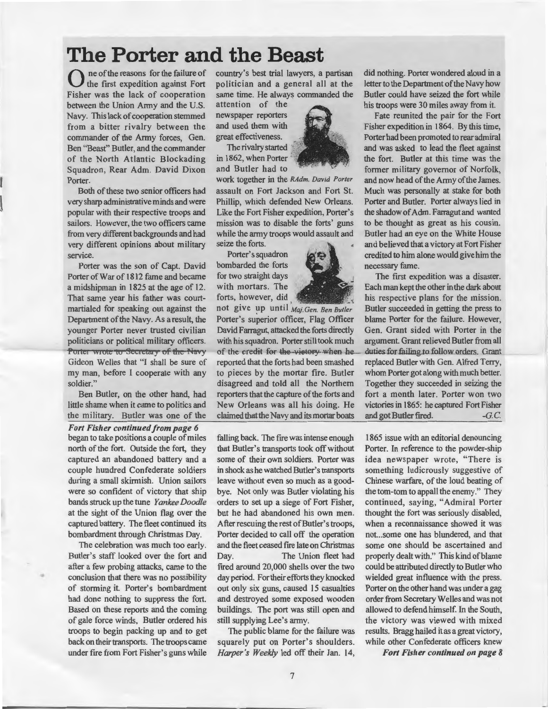### **The Porter and the Beast**

0 ne of the reasons for the failure of the first expedition against Fort Fisher was the lack of cooperation between the Union Army and the U.S. Navy. This lack of cooperation stemmed from a bitter rivalry between the commander of the Army forces, Gen. Ben "Beast'' Butler, and the commander of the North Atlantic Blockading Squadron, Rear Adm. David Dixon Porter.

Both of these two senior officers had very sharp administrative minds and were popular with their respective troops and sailors. However, the two officers came from very different backgrounds and had very different opinions about military service.

Porter was the son of Capt. David Porter of War of 1812 fame and became a midshipman in 1825 at the age of 12. That same year his father was courtmartialed for speaking out against the Department of the Navy. As a result, the younger Porter never trusted civilian politicians or political military officers. Porter wrote to Secretary of the Navy Gideon Welles that "I shall be sure of my man, before I cooperate with any soldier."

Ben Butler, on the other hand, had little shame when it came to politics and the military. Butler was one of the

*Fort Fisher continued from page 6*  began to take positions a couple of miles north of the fort. Outside the fort, they captured an abandoned battery and a couple hundred Confederate soldiers during a small skirmish. Union sailors were so confident of victory that ship bands struck up the tune *Yankee Doodle*  at the sight of the Union flag over the captured battery. The fleet continued its bombardment through Christmas Day.

The celebration was much too early. Butler's staff looked over the fort and after a few probing attacks, came to the conclusion that there was no possibility of storming it. Porter's bombardment had done nothing to suppress the fort. Based on these reports and the coming of gale force winds, Butler ordered his troops to begin packing up and to get back on their transports. The troops came under fire from Fort Fisher's guns while

•

country's best trial lawyers, a partisan politician and a general all at the same time. He always commanded the attention of the

newspaper reporters and used them with great effectiveness.

The rivalry started in 1862, when Porter and Butler had to

work together in the *RAdm. David Porter*  assault on Fort Jackson and Fort St. Phillip, which defended New Orleans. Like the Fort Fisher expedition, Porter's mission was to disable the forts' guns while the army troops would assault and seize the forts.

Porter's squadron bombarded the forts for two straight days with mortars. The forts, however, did

not give up until *Maj.Gen. Ben Butler* Porter's superior officer, Flag Officer David Farragut, attacked the forts directly with his squadron. Porter still took much of the credit for the victory when he reported that the forts had been smashed to pieces by the mortar fire. Butler disagreed and told all the Northern reporters that the capture of the forts and New Orleans was all his doing. He claimed that the Navy and its mortar boats

falling back. The fire was intense enough that Butler's transports took off without some of their own soldiers. Porter was in shock as he watched Butler's transports leave without even so much as a goodbye. Not only was Butler violating his orders to set up a siege of Fort Fisher, but he had abandoned his own men. After rescuing the rest of Butler's troops, Porter decided to call off the operation and the fleet ceased frre late on Christmas Day. The Union fleet had frred around 20,000 shells over the two day period. For their efforts they knocked out only six guns, caused 15 casualties and destroyed some exposed wooden buildings. The port was still open and still supplying Lee's army.

The public blame for the failure was squarely put on Porter's shoulders. *Harper's Weekly* led off their Jan. 14,

did nothing. Porter wondered aloud in a letter to the Department of the Navy how Butler could have seized the fort while his troops were 30 miles away from it.

Fate reunited the pair for the Fort Fisher expedition in 1864. By this time, Porter had been promoted to rear admiral and was asked to lead the fleet against the fort. Butler at this time was the former military governor of Norfolk, and now head of the Army of the James. Much was personally at stake for both Porter and Butler. Porter always lied in the shadow of Adm. Farragut and wanted to be thought as great as his cousin. Butler had an eye on the White House and believed that a victory at Fort Fisher credited to him alone would give him the necessary fame.

The first expedition was a disaster. Each man kept the other in the dark about his respective plans for the mission. Butler succeeded in getting the press to blame Porter for the failure. However, Gen. Grant sided with Porter in the argument. Grant relieved Butler from all duties for failing to follow orders. Grant replaced Butler with Gen. Alfred Terry, whom Porter got along with much better. Together they succeeded in seizing the fort a month later. Porter won two victories in 1865: he captured Fort Fisher and got Butler fired.  $-G.C.$ 

1865 issue with an editorial denouncing Porter. In reference to the powder-ship idea newspaper wrote, "There is something ludicrously suggestive of Chinese warfare, of the loud beating of the tom-tom to appall the enemy." They continued, saying, "Admiral Porter thought the fort was seriously disabled, when a reconnaissance showed it was not...some one has blundered, and that some one should be ascertained and properly dealt with." This kind of blame could be attributed directly to Butler who wielded great influence with the press. Porter on the other hand was under a gag order from Secretary Welles and was not allowed to defend himself. In the South, the victory was viewed with mixed results. Bragg hailed it as a great victory, while other Confederate officers knew

*Fort Fisher continued on page 8* 

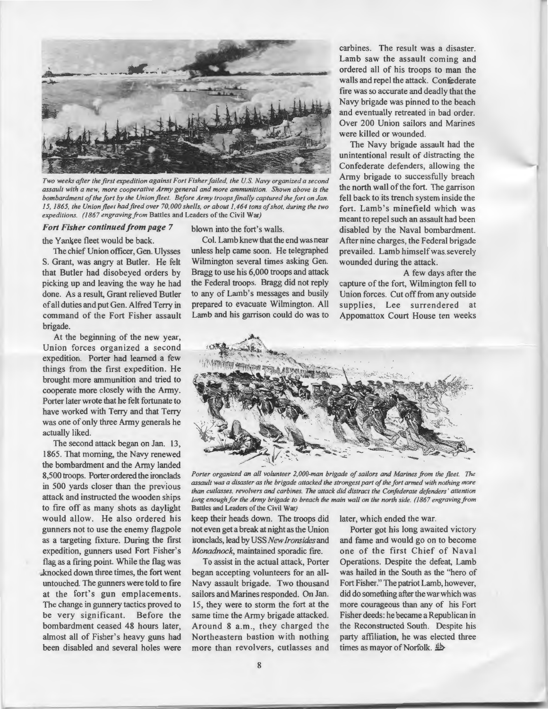

*Two weeks after the first expedition against Fort Fisher failed, the U.S. Navy organized a second assault with a new, more cooperative Army general and more ammunition. Shown above is the bombardment of the fort by the Union fleet. Before Army troops finally captured the fort on Jan. I 5, 1865, the Union fleet had fired over 70,000 shells, or about 1,464 tons of shot, during the two expeditions. (1867 engraving from* Battles and Leaders of the Civil War)

*Fort Fisher continued from page* 7

the Yankee fleet would be back. The chief Union officer, Gen. Ulysses S. Grant, was angry at Butler. He felt that Butler had disobeyed orders by picking up and leaving the way he had done. As a result, Grant relieved Butler of all duties and put Gen. Alfred Terry in command of the Fort Fisher assault

brigade. At the beginning of the new year, Union forces organized a second expedition. Porter had learned a few things from the first expedition. He brought more ammunition and tried to cooperate more closely with the Army. Porter later wrote that he felt fortunate to have worked with Terry and that Terry was one of only three Army generals he actually liked.

The second attack began on Jan. 13, 1865. That morning, the Navy renewed the bombardment and the Army landed 8,500 troops. Porter ordered the ironclads in 500 yards closer than the previous attack and instructed the wooden ships to fire off as many shots as daylight would allow. He also ordered his gunners not to use the enemy flagpole as a targeting fixture. During the first expedition, gunners used Fort Fisher's flag as a firing point. While the flag was knocked down three times, the fort went untouched. The gunners were told to frre at the fort's gun emplacements. The change in gunnery tactics proved to be very significant. Before the bombardment ceased 48 hours later, almost all of Fisher's heavy guns had been disabled and several holes were

blown into the fort's walls.

Col. Lamb knew that the end was near unless help came soon. He telegraphed Wilmington several times asking Gen. Bragg to use his 6,000 troops and attack the Federal troops. Bragg did not reply to any of Lamb's messages and busily prepared to evacuate Wilmington. All Lamb and his garrison could do was to carbines. The result was a disaster. Lamb saw the assault coming and ordered all of his troops to man the walls and repel the attack. Confederate fire was so accurate and deadly that the Navy brigade was pinned to the beach and eventually retreated in bad order. Over 200 Union sailors and Marines were killed or wounded.

The Navy brigade assault had the unintentional result of distracting the Confederate defenders, allowing the Army brigade to successfully breach the north wall of the fort. The garrison fell back to its trench system inside the fort. Lamb's minefield which was meant to repel such an assault had been disabled by the Naval bombardment. After nine charges, the Federal brigade prevailed. Lamb himselfwas.severely wounded during the attack.

A few days after the capture of the fort, Wilmington fell to Union forces. Cut off from any outside supplies, Lee surrendered at Appomattox Court House ten weeks



*Porter organized an all volunteer 2,000-man brigade of sailors and Marines from the fleet. The assault was a disaster as the brigade attacked the strongest part of the fort armed with nothing more than cutlasses. revolvers and carbines. The attack did distract the Confederate defenders' attention long enough for the Army brigade to breach the main wall on the north side. (1867 engraving from* Battles and Leaders of the Civil War)

keep their heads down. The troops did not even get a break at night as the Union ironclads, lead by USS *New Ironsides* and *Monadnock*, maintained sporadic fire.

Navy assault brigade. Two thousand sailors and Marines responded. On Jan. 15, they were to storm the fort at the same time the Army brigade attacked. Around 8 a.m ., they charged the Northeastern bastion with nothing more than revolvers, cutlasses and later, which ended the war.

Porter got his long awaited victory and fame and would go on to become one of the first Chief of Naval To assist in the actual attack, Porter Operations. Despite the defeat, Lamb began accepting volunteers for an all- was hailed in the South as the "hero of Fort Fisher." The patriot Lamb, however, did do something after the war which was more courageous than any of his Fort Fisher deeds: he became a Republican in the Reconstructed South. Despite his party affiliation, he was elected three times as mayor of Norfolk. *D*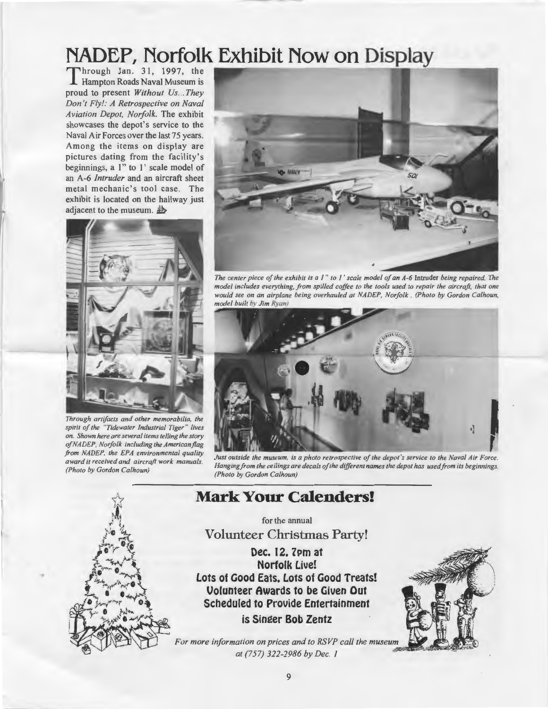## **NADEP, Norfolk Exhibit Now on Display**

proud to present *Without Us ... They Don't Fly!: A Retrospective on Naval Aviation Depot, Norfolk.* The exhibit showcases the depot's service to the Naval Air Forces over the last 75 years. Among the items on display are pictures dating from the facility's beginnings, a 1" to 1' scale model of an A-6 *Intruder* and an aircraft sheet metal mechanic's tool case. The exhibit is located on the hallway just adjacent to the museum.  $\frac{1}{2}$ 



*Through artifacts and other memorabilia, the spirit of the "Tidewater Industrial Tiger " lives on. Shown here are several items telling the story*   $of NADEP$ , Norfolk including the American flag *from NADEP, the EPA environmental quality award it received and aircraft work manuals. (Photo by Gordon Calhoun)* 

•



*The center piece of the exhibit is a I " to I ' scale model of an A-6* Intruder *being repaired. The model includes everything, from spilled coffee to the tools used to repair the aircraft, that one would see on an airplane being overhauled at NADEP, Norfolk* . *(Photo by Gordon Calhoun, model built by Jim Ryan)* 



*Hanging from the ceilings are decals of the different names the depot has used from its beginnings. (Photo by Gordon Calhoun)* 

### **Mark Your Calenders!**

for the annual

**Volunteer Christmas Party!** 

**Dec. 12. 7Pm at Norfolk Live! Lots of Good Eats. Lots of Good Treats! Volunteer Awards to be Given Out Scheduled to Provide Entertainment** 

**is Singer Bob Zentz** 



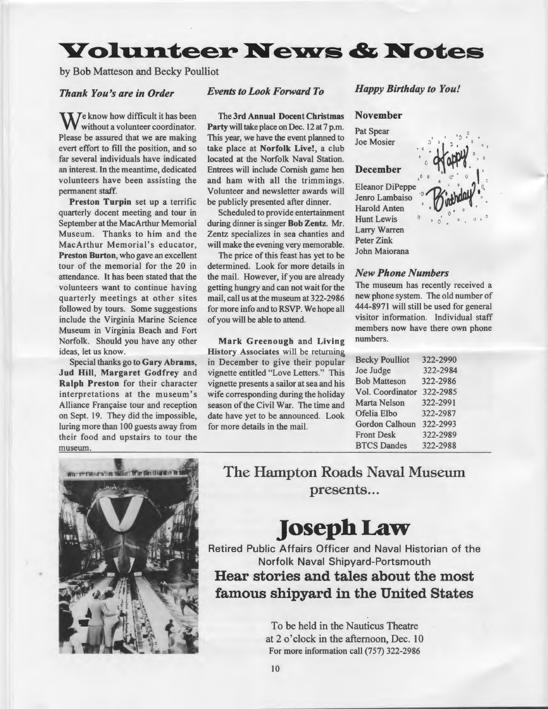### **Yolunteer News & Notes**

by Bob Matteson and Becky Poulliot

### *Thank You's are in Order*

We know how difficult it has been<br>without a volunteer coordinator. Please be assured that we are making evert effort to fill the position, and so far several individuals have indicated an interest. In the meantime, dedicated volunteers have been assisting the permanent staff.

Preston Turpin set up a terrific quarterly docent meeting and tour in September at the MacArthur Memorial Museum. Thanks to him and the MacArthur Memorial's educator, Preston Burton, who gave an excellent tour of the memorial for the 20 in attendance. It has been stated that the volunteers want to continue having quarterly meetings at other sites followed by tours. Some suggestions include the Virginia Marine Science Museum in Virginia Beach and Fort Norfolk. Should you have any other ideas, let us know.

Special thanks go to Gary Abrams, Jud Hill, Margaret Godfrey and Ralph Preston for their character interpretations at the museum's Alliance Française tour and reception on Sept. 19. They did the impossible, luring more than 100 guests away from their food and upstairs to tour the museum.

### *Events to Look Forward To*

The 3rd Annual Docent Christmas Party will take place on Dec. 12 at 7 p.m. This year, we have the event planned to take place at Norfolk Live!, a club located at the Norfolk Naval Station. Entrees will include Cornish game hen and ham with all the trimmings. Volunteer and newsletter awards will be publicly presented after dinner.

Scheduled to provide entertainment during dinner is singer Bob Zentz. Mr. Zentz specializes in sea chanties and will make the evening very memorable.

The price of this feast has yet to be determined. Look for more details in the mail. However, if you are already getting hungry and can not wait for the mail, call us at the museum at 322-2986 for more info and to RSVP. We hope all of you will be able to attend.

Mark Greenough and Living History Associates will be returning in December to give their popular vignette entitled "Love Letters." This vignette presents a sailor at sea and his wife corresponding during the holiday season of the Civil War. The time and date have yet to be announced. Look for more details in the mail.

*Happy Birthday to You!* 

 $l_{\rm{F}}$  .

**1141** 

•.: (

 $\overline{a}$  $\mathbf{v}_{-\mathbf{0}}$ 

#### November

Pat Spear Joe Mosier

#### December

Eleanor DiPeppe Jenro Lambaiso Harold Anten Hunt Lewis Larry Warren Peter Zink John Maiorana

### *New Phone Numbers*

The museum has recently received a new phone system. The old number of 444-8971 will still be used for general visitor information. Individual staff members now have there own phone numbers.

| <b>Becky Poulliot</b> | 322-2990 |
|-----------------------|----------|
| Joe Judge             | 322-2984 |
| <b>Bob Matteson</b>   | 322-2986 |
| Vol. Coordinator      | 322-2985 |
| <b>Marta Nelson</b>   | 322-2991 |
| Ofelia Elbo           | 322-2987 |
| <b>Gordon Calhoun</b> | 322-2993 |
| <b>Front Desk</b>     | 322-2989 |
| <b>BTCS Dandes</b>    | 322-2988 |



•

The Hampton Roads Naval Museum presents...

### **Joseph Law-**

Retired Public Affairs Officer and Naval Historian of the Norfolk Naval Shipyard-Portsmouth **Hear stories and tales about the most famous shipyard in the United States** 

> To be held in the Nauticus Theatre at 2 o' clock in the afternoon, Dec. 10 For more information call (757) 322-2986